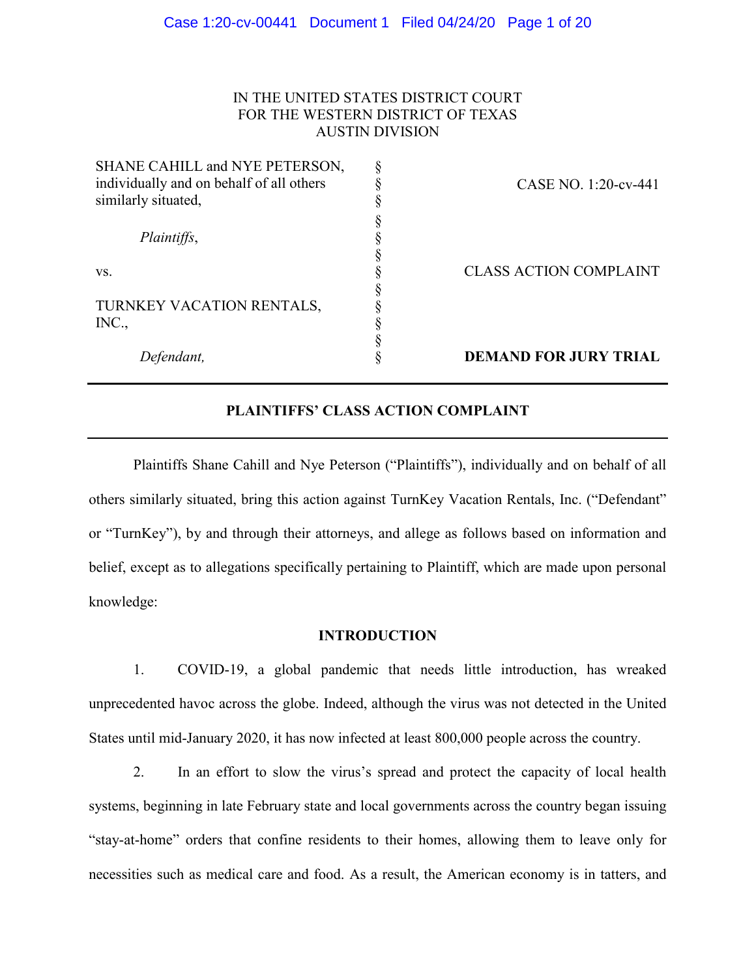## IN THE UNITED STATES DISTRICT COURT FOR THE WESTERN DISTRICT OF TEXAS AUSTIN DIVISION

| Defendant,                               | <b>DEMAND FOR JURY TRIAL</b>  |
|------------------------------------------|-------------------------------|
|                                          |                               |
| INC.,                                    |                               |
| TURNKEY VACATION RENTALS,                |                               |
|                                          |                               |
| VS.                                      | <b>CLASS ACTION COMPLAINT</b> |
|                                          |                               |
| Plaintiffs,                              |                               |
|                                          |                               |
| similarly situated,                      |                               |
| individually and on behalf of all others | CASE NO. 1:20-cv-441          |
| SHANE CAHILL and NYE PETERSON,           |                               |
|                                          |                               |

# **PLAINTIFFS' CLASS ACTION COMPLAINT**

Plaintiffs Shane Cahill and Nye Peterson ("Plaintiffs"), individually and on behalf of all others similarly situated, bring this action against TurnKey Vacation Rentals, Inc. ("Defendant" or "TurnKey"), by and through their attorneys, and allege as follows based on information and belief, except as to allegations specifically pertaining to Plaintiff, which are made upon personal knowledge:

### **INTRODUCTION**

1. COVID-19, a global pandemic that needs little introduction, has wreaked unprecedented havoc across the globe. Indeed, although the virus was not detected in the United States until mid-January 2020, it has now infected at least 800,000 people across the country.

2. In an effort to slow the virus's spread and protect the capacity of local health systems, beginning in late February state and local governments across the country began issuing "stay-at-home" orders that confine residents to their homes, allowing them to leave only for necessities such as medical care and food. As a result, the American economy is in tatters, and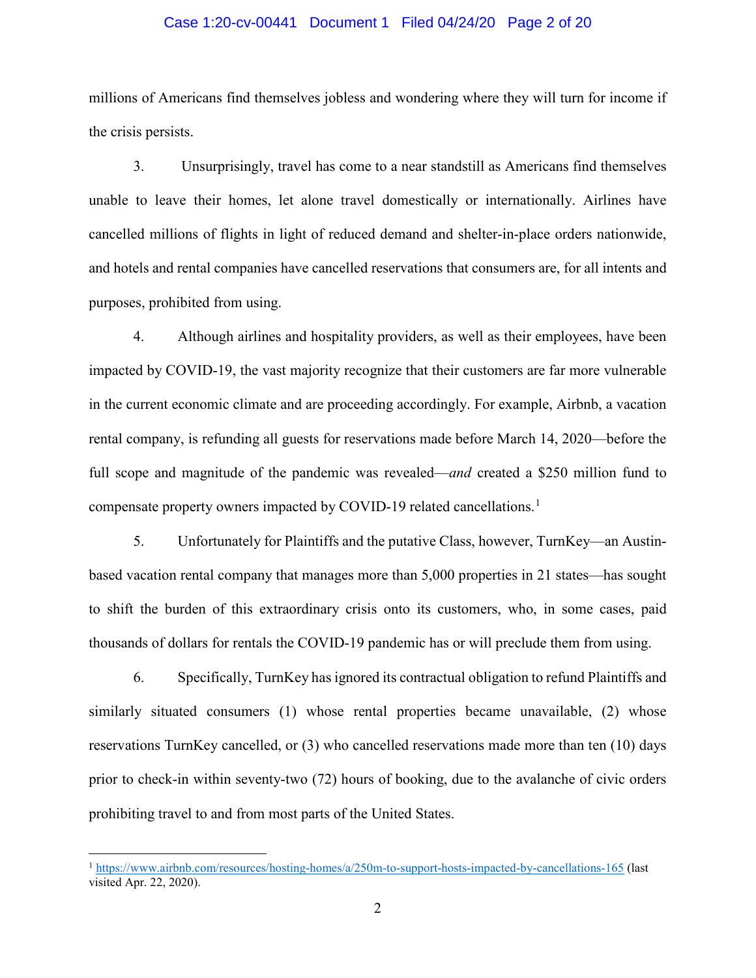### Case 1:20-cv-00441 Document 1 Filed 04/24/20 Page 2 of 20

millions of Americans find themselves jobless and wondering where they will turn for income if the crisis persists.

3. Unsurprisingly, travel has come to a near standstill as Americans find themselves unable to leave their homes, let alone travel domestically or internationally. Airlines have cancelled millions of flights in light of reduced demand and shelter-in-place orders nationwide, and hotels and rental companies have cancelled reservations that consumers are, for all intents and purposes, prohibited from using.

4. Although airlines and hospitality providers, as well as their employees, have been impacted by COVID-19, the vast majority recognize that their customers are far more vulnerable in the current economic climate and are proceeding accordingly. For example, Airbnb, a vacation rental company, is refunding all guests for reservations made before March 14, 2020—before the full scope and magnitude of the pandemic was revealed—*and* created a \$250 million fund to compensate property owners impacted by COVID-[1](#page-1-0)9 related cancellations.<sup>1</sup>

5. Unfortunately for Plaintiffs and the putative Class, however, TurnKey—an Austinbased vacation rental company that manages more than 5,000 properties in 21 states—has sought to shift the burden of this extraordinary crisis onto its customers, who, in some cases, paid thousands of dollars for rentals the COVID-19 pandemic has or will preclude them from using.

6. Specifically, TurnKey has ignored its contractual obligation to refund Plaintiffs and similarly situated consumers (1) whose rental properties became unavailable, (2) whose reservations TurnKey cancelled, or (3) who cancelled reservations made more than ten (10) days prior to check-in within seventy-two (72) hours of booking, due to the avalanche of civic orders prohibiting travel to and from most parts of the United States.

<span id="page-1-0"></span><sup>&</sup>lt;sup>1</sup> <https://www.airbnb.com/resources/hosting-homes/a/250m-to-support-hosts-impacted-by-cancellations-165> (last visited Apr. 22, 2020).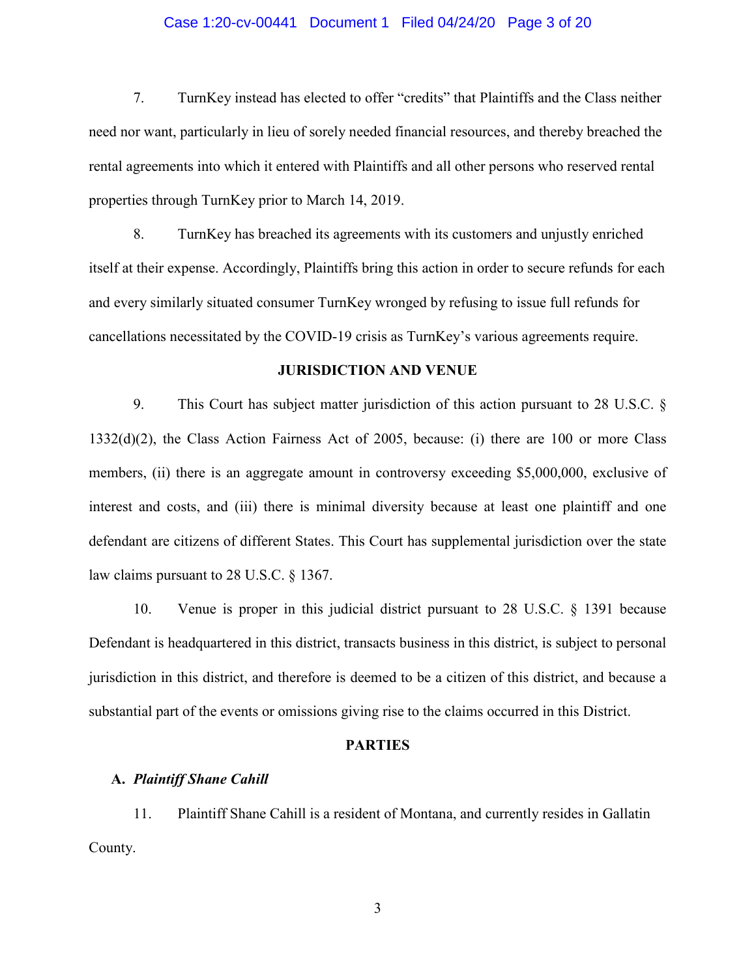### Case 1:20-cv-00441 Document 1 Filed 04/24/20 Page 3 of 20

7. TurnKey instead has elected to offer "credits" that Plaintiffs and the Class neither need nor want, particularly in lieu of sorely needed financial resources, and thereby breached the rental agreements into which it entered with Plaintiffs and all other persons who reserved rental properties through TurnKey prior to March 14, 2019.

8. TurnKey has breached its agreements with its customers and unjustly enriched itself at their expense. Accordingly, Plaintiffs bring this action in order to secure refunds for each and every similarly situated consumer TurnKey wronged by refusing to issue full refunds for cancellations necessitated by the COVID-19 crisis as TurnKey's various agreements require.

### **JURISDICTION AND VENUE**

9. This Court has subject matter jurisdiction of this action pursuant to 28 U.S.C. § 1332(d)(2), the Class Action Fairness Act of 2005, because: (i) there are 100 or more Class members, (ii) there is an aggregate amount in controversy exceeding \$5,000,000, exclusive of interest and costs, and (iii) there is minimal diversity because at least one plaintiff and one defendant are citizens of different States. This Court has supplemental jurisdiction over the state law claims pursuant to 28 U.S.C. § 1367.

10. Venue is proper in this judicial district pursuant to 28 U.S.C. § 1391 because Defendant is headquartered in this district, transacts business in this district, is subject to personal jurisdiction in this district, and therefore is deemed to be a citizen of this district, and because a substantial part of the events or omissions giving rise to the claims occurred in this District.

#### **PARTIES**

#### **A.** *Plaintiff Shane Cahill*

11. Plaintiff Shane Cahill is a resident of Montana, and currently resides in Gallatin County.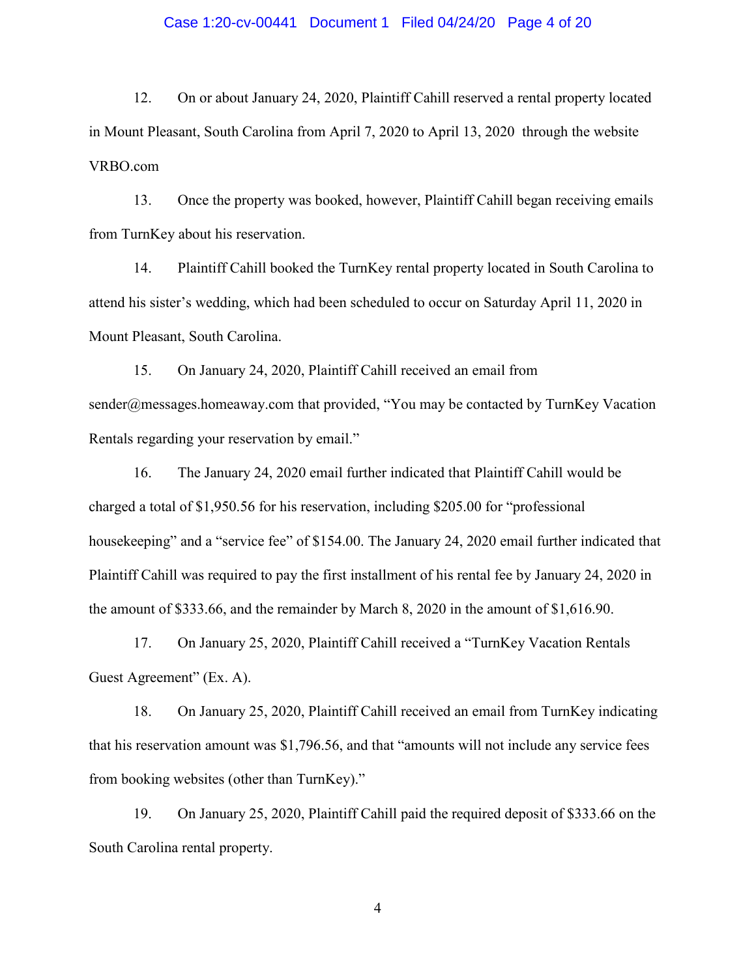### Case 1:20-cv-00441 Document 1 Filed 04/24/20 Page 4 of 20

12. On or about January 24, 2020, Plaintiff Cahill reserved a rental property located in Mount Pleasant, South Carolina from April 7, 2020 to April 13, 2020 through the website VRBO.com

13. Once the property was booked, however, Plaintiff Cahill began receiving emails from TurnKey about his reservation.

14. Plaintiff Cahill booked the TurnKey rental property located in South Carolina to attend his sister's wedding, which had been scheduled to occur on Saturday April 11, 2020 in Mount Pleasant, South Carolina.

15. On January 24, 2020, Plaintiff Cahill received an email from sender@messages.homeaway.com that provided, "You may be contacted by TurnKey Vacation Rentals regarding your reservation by email."

16. The January 24, 2020 email further indicated that Plaintiff Cahill would be charged a total of \$1,950.56 for his reservation, including \$205.00 for "professional housekeeping" and a "service fee" of \$154.00. The January 24, 2020 email further indicated that Plaintiff Cahill was required to pay the first installment of his rental fee by January 24, 2020 in the amount of \$333.66, and the remainder by March 8, 2020 in the amount of \$1,616.90.

17. On January 25, 2020, Plaintiff Cahill received a "TurnKey Vacation Rentals Guest Agreement" (Ex. A).

18. On January 25, 2020, Plaintiff Cahill received an email from TurnKey indicating that his reservation amount was \$1,796.56, and that "amounts will not include any service fees from booking websites (other than TurnKey)."

19. On January 25, 2020, Plaintiff Cahill paid the required deposit of \$333.66 on the South Carolina rental property.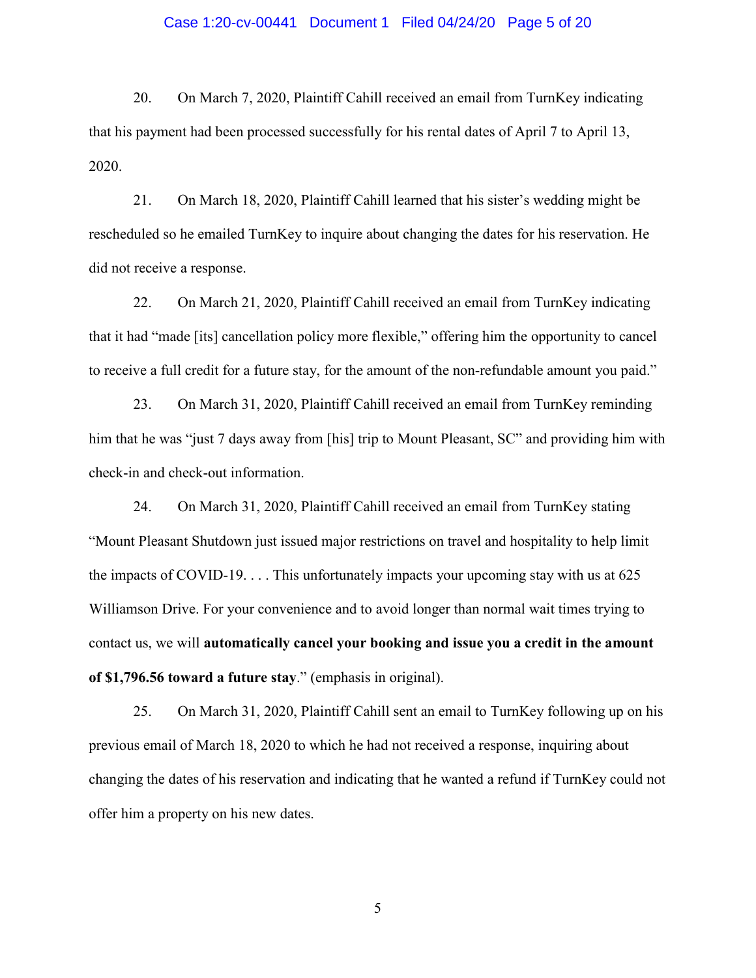### Case 1:20-cv-00441 Document 1 Filed 04/24/20 Page 5 of 20

20. On March 7, 2020, Plaintiff Cahill received an email from TurnKey indicating that his payment had been processed successfully for his rental dates of April 7 to April 13, 2020.

21. On March 18, 2020, Plaintiff Cahill learned that his sister's wedding might be rescheduled so he emailed TurnKey to inquire about changing the dates for his reservation. He did not receive a response.

22. On March 21, 2020, Plaintiff Cahill received an email from TurnKey indicating that it had "made [its] cancellation policy more flexible," offering him the opportunity to cancel to receive a full credit for a future stay, for the amount of the non-refundable amount you paid."

23. On March 31, 2020, Plaintiff Cahill received an email from TurnKey reminding him that he was "just 7 days away from [his] trip to Mount Pleasant, SC" and providing him with check-in and check-out information.

24. On March 31, 2020, Plaintiff Cahill received an email from TurnKey stating "Mount Pleasant Shutdown just issued major restrictions on travel and hospitality to help limit the impacts of COVID-19. . . . This unfortunately impacts your upcoming stay with us at 625 Williamson Drive. For your convenience and to avoid longer than normal wait times trying to contact us, we will **automatically cancel your booking and issue you a credit in the amount of \$1,796.56 toward a future stay**." (emphasis in original).

25. On March 31, 2020, Plaintiff Cahill sent an email to TurnKey following up on his previous email of March 18, 2020 to which he had not received a response, inquiring about changing the dates of his reservation and indicating that he wanted a refund if TurnKey could not offer him a property on his new dates.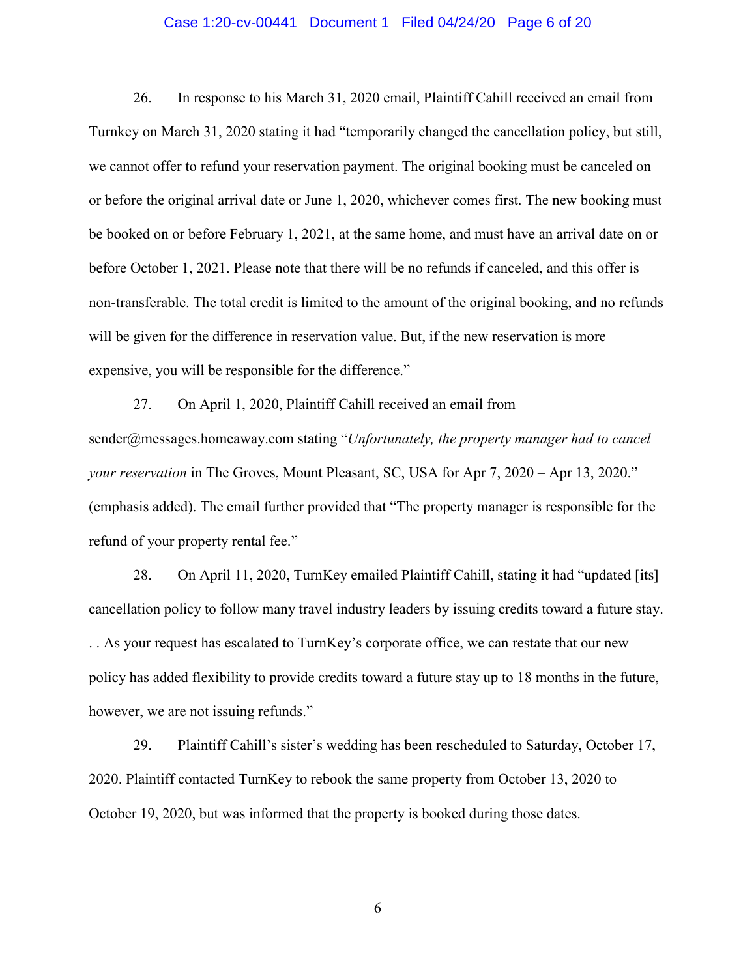### Case 1:20-cv-00441 Document 1 Filed 04/24/20 Page 6 of 20

26. In response to his March 31, 2020 email, Plaintiff Cahill received an email from Turnkey on March 31, 2020 stating it had "temporarily changed the cancellation policy, but still, we cannot offer to refund your reservation payment. The original booking must be canceled on or before the original arrival date or June 1, 2020, whichever comes first. The new booking must be booked on or before February 1, 2021, at the same home, and must have an arrival date on or before October 1, 2021. Please note that there will be no refunds if canceled, and this offer is non-transferable. The total credit is limited to the amount of the original booking, and no refunds will be given for the difference in reservation value. But, if the new reservation is more expensive, you will be responsible for the difference."

27. On April 1, 2020, Plaintiff Cahill received an email from sender@messages.homeaway.com stating "*Unfortunately, the property manager had to cancel your reservation* in The Groves, Mount Pleasant, SC, USA for Apr 7, 2020 – Apr 13, 2020." (emphasis added). The email further provided that "The property manager is responsible for the refund of your property rental fee."

28. On April 11, 2020, TurnKey emailed Plaintiff Cahill, stating it had "updated [its] cancellation policy to follow many travel industry leaders by issuing credits toward a future stay. . . As your request has escalated to TurnKey's corporate office, we can restate that our new policy has added flexibility to provide credits toward a future stay up to 18 months in the future, however, we are not issuing refunds."

29. Plaintiff Cahill's sister's wedding has been rescheduled to Saturday, October 17, 2020. Plaintiff contacted TurnKey to rebook the same property from October 13, 2020 to October 19, 2020, but was informed that the property is booked during those dates.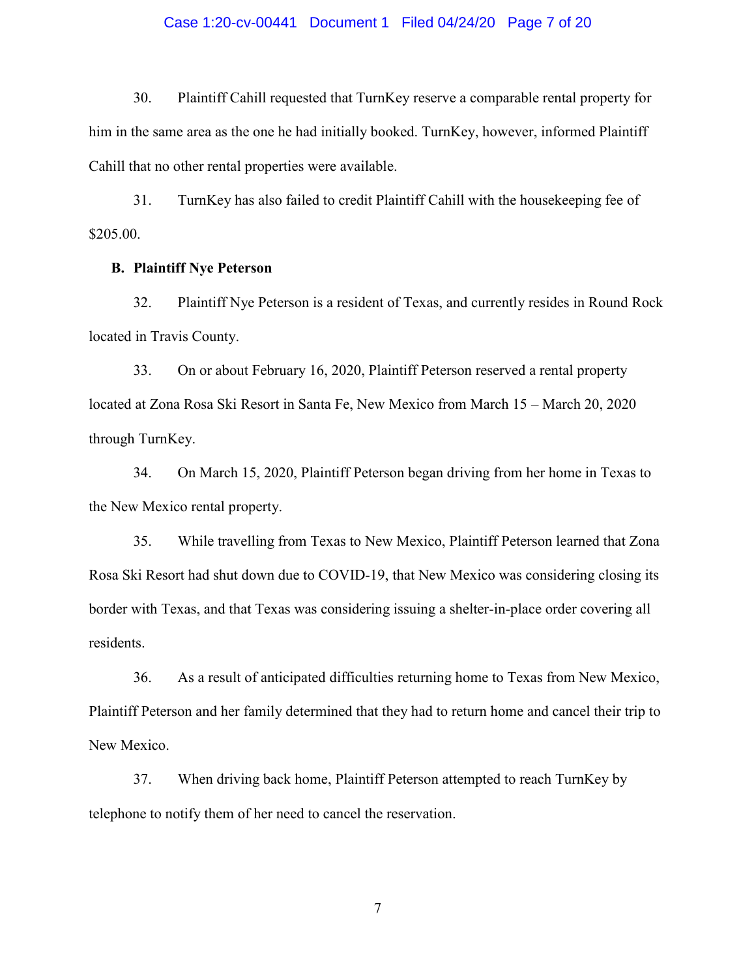### Case 1:20-cv-00441 Document 1 Filed 04/24/20 Page 7 of 20

30. Plaintiff Cahill requested that TurnKey reserve a comparable rental property for him in the same area as the one he had initially booked. TurnKey, however, informed Plaintiff Cahill that no other rental properties were available.

31. TurnKey has also failed to credit Plaintiff Cahill with the housekeeping fee of \$205.00.

## **B. Plaintiff Nye Peterson**

32. Plaintiff Nye Peterson is a resident of Texas, and currently resides in Round Rock located in Travis County.

33. On or about February 16, 2020, Plaintiff Peterson reserved a rental property located at Zona Rosa Ski Resort in Santa Fe, New Mexico from March 15 – March 20, 2020 through TurnKey.

34. On March 15, 2020, Plaintiff Peterson began driving from her home in Texas to the New Mexico rental property.

35. While travelling from Texas to New Mexico, Plaintiff Peterson learned that Zona Rosa Ski Resort had shut down due to COVID-19, that New Mexico was considering closing its border with Texas, and that Texas was considering issuing a shelter-in-place order covering all residents.

36. As a result of anticipated difficulties returning home to Texas from New Mexico, Plaintiff Peterson and her family determined that they had to return home and cancel their trip to New Mexico.

37. When driving back home, Plaintiff Peterson attempted to reach TurnKey by telephone to notify them of her need to cancel the reservation.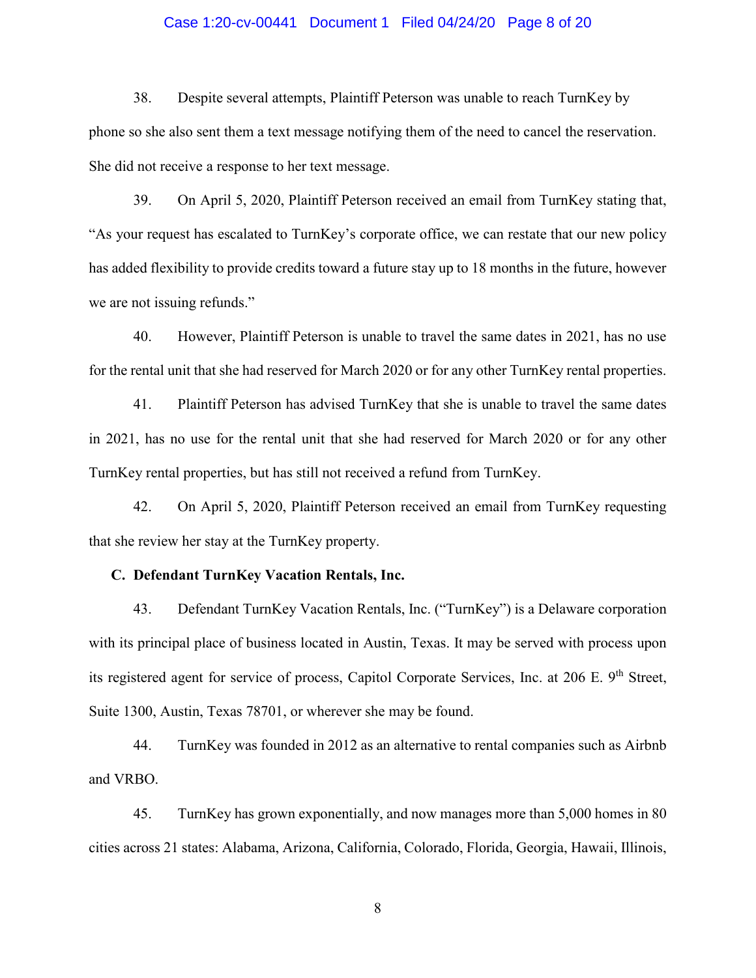### Case 1:20-cv-00441 Document 1 Filed 04/24/20 Page 8 of 20

38. Despite several attempts, Plaintiff Peterson was unable to reach TurnKey by phone so she also sent them a text message notifying them of the need to cancel the reservation. She did not receive a response to her text message.

39. On April 5, 2020, Plaintiff Peterson received an email from TurnKey stating that, "As your request has escalated to TurnKey's corporate office, we can restate that our new policy has added flexibility to provide credits toward a future stay up to 18 months in the future, however we are not issuing refunds."

40. However, Plaintiff Peterson is unable to travel the same dates in 2021, has no use for the rental unit that she had reserved for March 2020 or for any other TurnKey rental properties.

41. Plaintiff Peterson has advised TurnKey that she is unable to travel the same dates in 2021, has no use for the rental unit that she had reserved for March 2020 or for any other TurnKey rental properties, but has still not received a refund from TurnKey.

42. On April 5, 2020, Plaintiff Peterson received an email from TurnKey requesting that she review her stay at the TurnKey property.

#### **C. Defendant TurnKey Vacation Rentals, Inc.**

43. Defendant TurnKey Vacation Rentals, Inc. ("TurnKey") is a Delaware corporation with its principal place of business located in Austin, Texas. It may be served with process upon its registered agent for service of process, Capitol Corporate Services, Inc. at 206 E. 9<sup>th</sup> Street, Suite 1300, Austin, Texas 78701, or wherever she may be found.

44. TurnKey was founded in 2012 as an alternative to rental companies such as Airbnb and VRBO.

45. TurnKey has grown exponentially, and now manages more than 5,000 homes in 80 cities across 21 states: Alabama, Arizona, California, Colorado, Florida, Georgia, Hawaii, Illinois,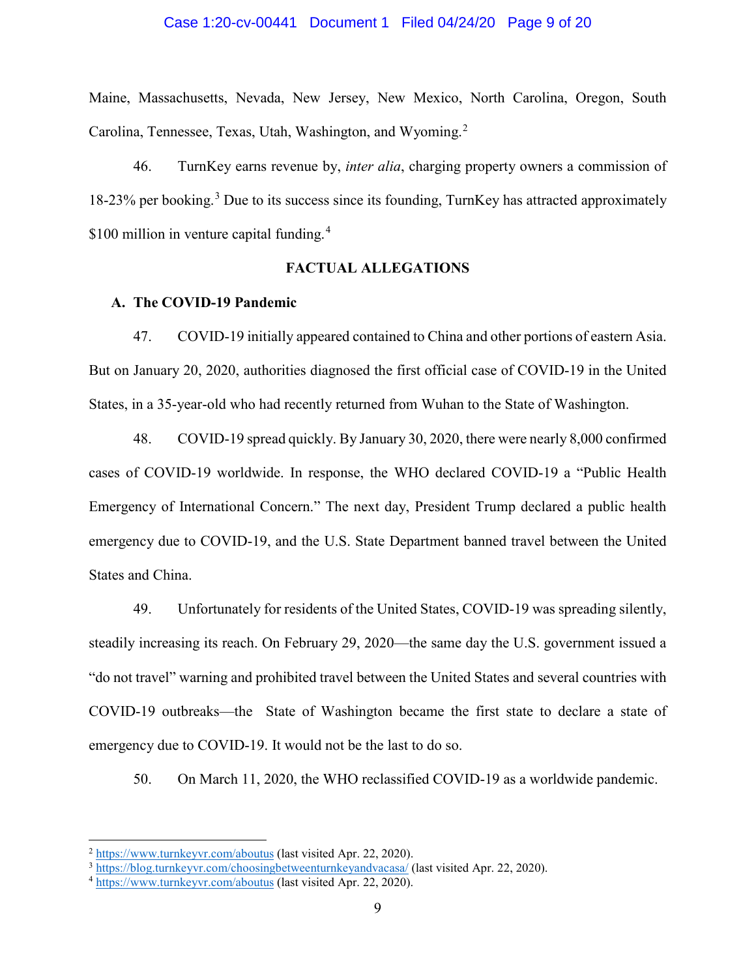#### Case 1:20-cv-00441 Document 1 Filed 04/24/20 Page 9 of 20

Maine, Massachusetts, Nevada, New Jersey, New Mexico, North Carolina, Oregon, South Carolina, Tennessee, Texas, Utah, Washington, and Wyoming.<sup>[2](#page-8-0)</sup>

46. TurnKey earns revenue by, *inter alia*, charging property owners a commission of  $18-23\%$  $18-23\%$  $18-23\%$  per booking.<sup>3</sup> Due to its success since its founding, TurnKey has attracted approximately \$100 million in venture capital funding.<sup>[4](#page-8-2)</sup>

### **FACTUAL ALLEGATIONS**

### **A. The COVID-19 Pandemic**

47. COVID-19 initially appeared contained to China and other portions of eastern Asia. But on January 20, 2020, authorities diagnosed the first official case of COVID-19 in the United States, in a 35-year-old who had recently returned from Wuhan to the State of Washington.

48. COVID-19 spread quickly. By January 30, 2020, there were nearly 8,000 confirmed cases of COVID-19 worldwide. In response, the WHO declared COVID-19 a "Public Health Emergency of International Concern." The next day, President Trump declared a public health emergency due to COVID-19, and the U.S. State Department banned travel between the United States and China.

49. Unfortunately for residents of the United States, COVID-19 was spreading silently, steadily increasing its reach. On February 29, 2020—the same day the U.S. government issued a "do not travel" warning and prohibited travel between the United States and several countries with COVID-19 outbreaks—the State of Washington became the first state to declare a state of emergency due to COVID-19. It would not be the last to do so.

50. On March 11, 2020, the WHO reclassified COVID-19 as a worldwide pandemic.

<span id="page-8-0"></span> <sup>2</sup> <https://www.turnkeyvr.com/aboutus> (last visited Apr. 22, 2020).

<span id="page-8-1"></span><sup>&</sup>lt;sup>3</sup> <https://blog.turnkeyvr.com/choosingbetweenturnkeyandvacasa/> (last visited Apr. 22, 2020).

<span id="page-8-2"></span><sup>4</sup> <https://www.turnkeyvr.com/aboutus> (last visited Apr. 22, 2020).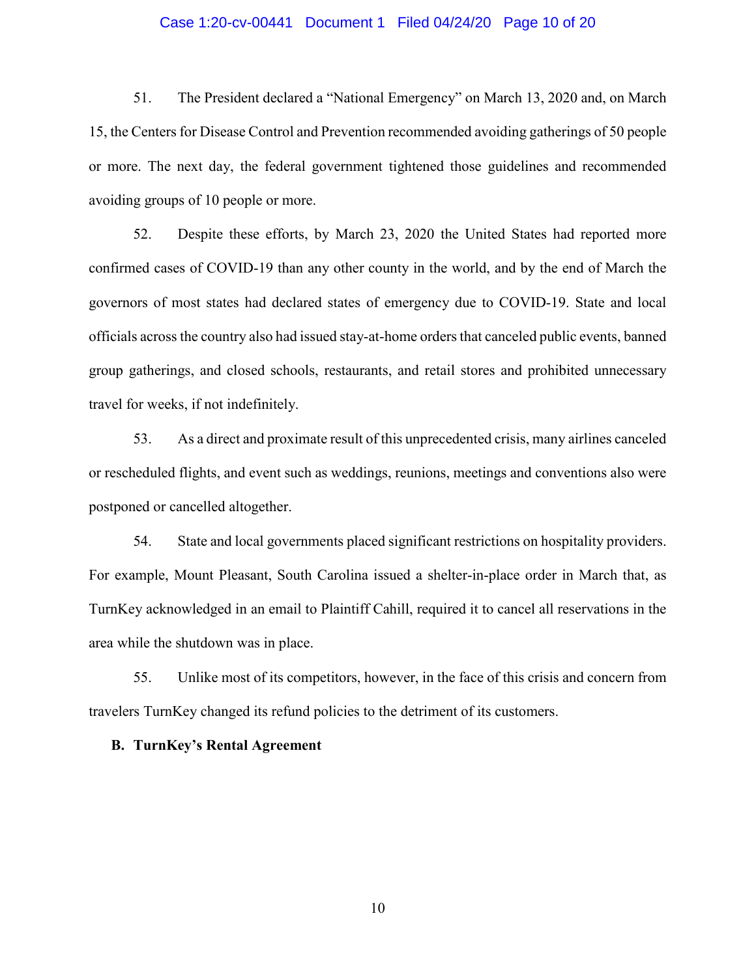### Case 1:20-cv-00441 Document 1 Filed 04/24/20 Page 10 of 20

51. The President declared a "National Emergency" on March 13, 2020 and, on March 15, the Centers for Disease Control and Prevention recommended avoiding gatherings of 50 people or more. The next day, the federal government tightened those guidelines and recommended avoiding groups of 10 people or more.

52. Despite these efforts, by March 23, 2020 the United States had reported more confirmed cases of COVID-19 than any other county in the world, and by the end of March the governors of most states had declared states of emergency due to COVID-19. State and local officials across the country also had issued stay-at-home orders that canceled public events, banned group gatherings, and closed schools, restaurants, and retail stores and prohibited unnecessary travel for weeks, if not indefinitely.

53. As a direct and proximate result of this unprecedented crisis, many airlines canceled or rescheduled flights, and event such as weddings, reunions, meetings and conventions also were postponed or cancelled altogether.

54. State and local governments placed significant restrictions on hospitality providers. For example, Mount Pleasant, South Carolina issued a shelter-in-place order in March that, as TurnKey acknowledged in an email to Plaintiff Cahill, required it to cancel all reservations in the area while the shutdown was in place.

55. Unlike most of its competitors, however, in the face of this crisis and concern from travelers TurnKey changed its refund policies to the detriment of its customers.

### **B. TurnKey's Rental Agreement**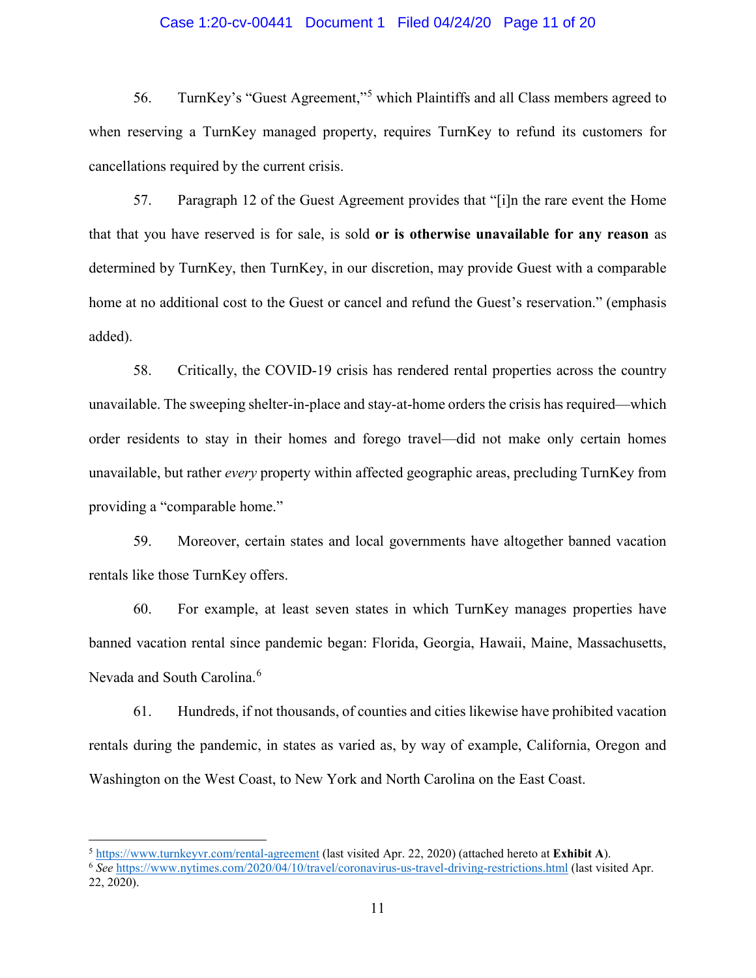### Case 1:20-cv-00441 Document 1 Filed 04/24/20 Page 11 of 20

56. TurnKey's "Guest Agreement,"[5](#page-10-0) which Plaintiffs and all Class members agreed to when reserving a TurnKey managed property, requires TurnKey to refund its customers for cancellations required by the current crisis.

57. Paragraph 12 of the Guest Agreement provides that "[i]n the rare event the Home that that you have reserved is for sale, is sold **or is otherwise unavailable for any reason** as determined by TurnKey, then TurnKey, in our discretion, may provide Guest with a comparable home at no additional cost to the Guest or cancel and refund the Guest's reservation." (emphasis added).

58. Critically, the COVID-19 crisis has rendered rental properties across the country unavailable. The sweeping shelter-in-place and stay-at-home orders the crisis has required—which order residents to stay in their homes and forego travel—did not make only certain homes unavailable, but rather *every* property within affected geographic areas, precluding TurnKey from providing a "comparable home."

59. Moreover, certain states and local governments have altogether banned vacation rentals like those TurnKey offers.

60. For example, at least seven states in which TurnKey manages properties have banned vacation rental since pandemic began: Florida, Georgia, Hawaii, Maine, Massachusetts, Nevada and South Carolina.<sup>[6](#page-10-1)</sup>

61. Hundreds, if not thousands, of counties and cities likewise have prohibited vacation rentals during the pandemic, in states as varied as, by way of example, California, Oregon and Washington on the West Coast, to New York and North Carolina on the East Coast.

<span id="page-10-0"></span> $\frac{5 \text{ https://www.turnkeyvr.com/rental-agreement}}{6 \text{6} \text{6} \text{6} \text{6} \text{6} \text{6}}$  (last visited Apr. 22, 2020) (attached hereto at Exhibit A).

<span id="page-10-1"></span><sup>22, 2020).</sup>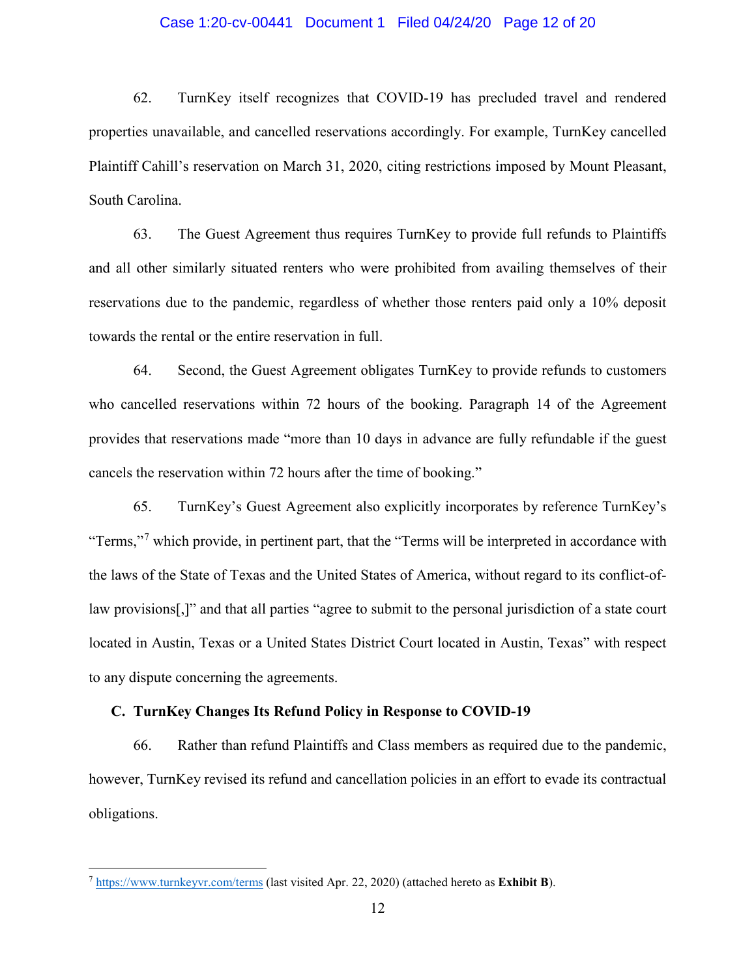### Case 1:20-cv-00441 Document 1 Filed 04/24/20 Page 12 of 20

62. TurnKey itself recognizes that COVID-19 has precluded travel and rendered properties unavailable, and cancelled reservations accordingly. For example, TurnKey cancelled Plaintiff Cahill's reservation on March 31, 2020, citing restrictions imposed by Mount Pleasant, South Carolina.

63. The Guest Agreement thus requires TurnKey to provide full refunds to Plaintiffs and all other similarly situated renters who were prohibited from availing themselves of their reservations due to the pandemic, regardless of whether those renters paid only a 10% deposit towards the rental or the entire reservation in full.

64. Second, the Guest Agreement obligates TurnKey to provide refunds to customers who cancelled reservations within 72 hours of the booking. Paragraph 14 of the Agreement provides that reservations made "more than 10 days in advance are fully refundable if the guest cancels the reservation within 72 hours after the time of booking."

65. TurnKey's Guest Agreement also explicitly incorporates by reference TurnKey's "Terms,"<sup>[7](#page-11-0)</sup> which provide, in pertinent part, that the "Terms will be interpreted in accordance with the laws of the State of Texas and the United States of America, without regard to its conflict-oflaw provisions[,]" and that all parties "agree to submit to the personal jurisdiction of a state court located in Austin, Texas or a United States District Court located in Austin, Texas" with respect to any dispute concerning the agreements.

### **C. TurnKey Changes Its Refund Policy in Response to COVID-19**

66. Rather than refund Plaintiffs and Class members as required due to the pandemic, however, TurnKey revised its refund and cancellation policies in an effort to evade its contractual obligations.

<span id="page-11-0"></span> <sup>7</sup> <https://www.turnkeyvr.com/terms> (last visited Apr. 22, 2020) (attached hereto as **Exhibit B**).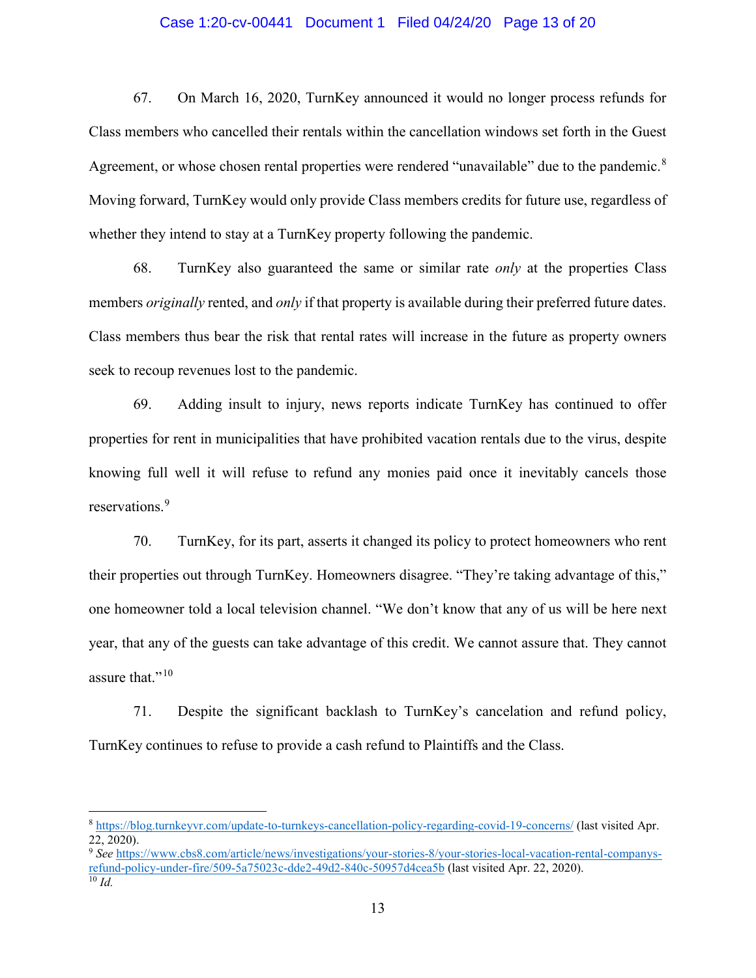### Case 1:20-cv-00441 Document 1 Filed 04/24/20 Page 13 of 20

67. On March 16, 2020, TurnKey announced it would no longer process refunds for Class members who cancelled their rentals within the cancellation windows set forth in the Guest Agreement, or whose chosen rental properties were rendered "unavailable" due to the pandemic.<sup>[8](#page-12-0)</sup> Moving forward, TurnKey would only provide Class members credits for future use, regardless of whether they intend to stay at a TurnKey property following the pandemic.

68. TurnKey also guaranteed the same or similar rate *only* at the properties Class members *originally* rented, and *only* if that property is available during their preferred future dates. Class members thus bear the risk that rental rates will increase in the future as property owners seek to recoup revenues lost to the pandemic.

69. Adding insult to injury, news reports indicate TurnKey has continued to offer properties for rent in municipalities that have prohibited vacation rentals due to the virus, despite knowing full well it will refuse to refund any monies paid once it inevitably cancels those reservations. [9](#page-12-1)

70. TurnKey, for its part, asserts it changed its policy to protect homeowners who rent their properties out through TurnKey. Homeowners disagree. "They're taking advantage of this," one homeowner told a local television channel. "We don't know that any of us will be here next year, that any of the guests can take advantage of this credit. We cannot assure that. They cannot assure that."<sup>[10](#page-12-2)</sup>

71. Despite the significant backlash to TurnKey's cancelation and refund policy, TurnKey continues to refuse to provide a cash refund to Plaintiffs and the Class.

<span id="page-12-0"></span> <sup>8</sup> <https://blog.turnkeyvr.com/update-to-turnkeys-cancellation-policy-regarding-covid-19-concerns/> (last visited Apr. 22, 2020).

<span id="page-12-2"></span><span id="page-12-1"></span><sup>9</sup> *See* [https://www.cbs8.com/article/news/investigations/your-stories-8/your-stories-local-vacation-rental-companys](https://www.cbs8.com/article/news/investigations/your-stories-8/your-stories-local-vacation-rental-companys-refund-policy-under-fire/509-5a75023c-dde2-49d2-840c-50957d4cea5b)refund-policy-under-fire/509-5a75023c-dde2-49d2-840c-50957d4cea5b (last visited Apr. 22, 2020). 10 *Id.*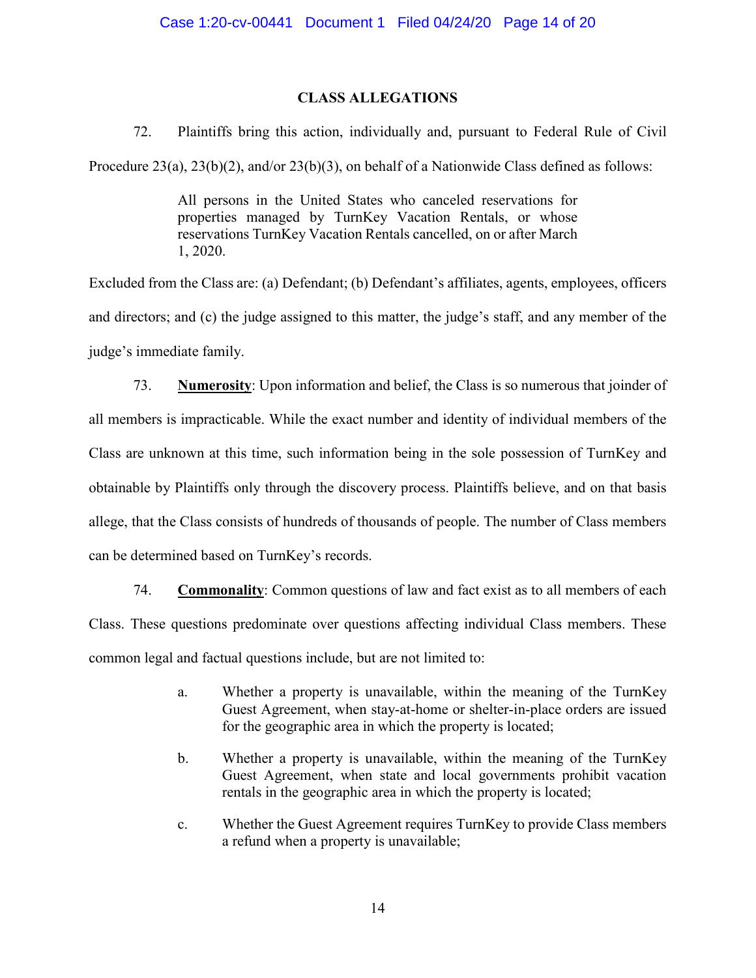## **CLASS ALLEGATIONS**

72. Plaintiffs bring this action, individually and, pursuant to Federal Rule of Civil

Procedure 23(a), 23(b)(2), and/or 23(b)(3), on behalf of a Nationwide Class defined as follows:

All persons in the United States who canceled reservations for properties managed by TurnKey Vacation Rentals, or whose reservations TurnKey Vacation Rentals cancelled, on or after March 1, 2020.

Excluded from the Class are: (a) Defendant; (b) Defendant's affiliates, agents, employees, officers and directors; and (c) the judge assigned to this matter, the judge's staff, and any member of the judge's immediate family.

73. **Numerosity**: Upon information and belief, the Class is so numerous that joinder of all members is impracticable. While the exact number and identity of individual members of the Class are unknown at this time, such information being in the sole possession of TurnKey and obtainable by Plaintiffs only through the discovery process. Plaintiffs believe, and on that basis allege, that the Class consists of hundreds of thousands of people. The number of Class members can be determined based on TurnKey's records.

74. **Commonality**: Common questions of law and fact exist as to all members of each Class. These questions predominate over questions affecting individual Class members. These common legal and factual questions include, but are not limited to:

- a. Whether a property is unavailable, within the meaning of the TurnKey Guest Agreement, when stay-at-home or shelter-in-place orders are issued for the geographic area in which the property is located;
- b. Whether a property is unavailable, within the meaning of the TurnKey Guest Agreement, when state and local governments prohibit vacation rentals in the geographic area in which the property is located;
- c. Whether the Guest Agreement requires TurnKey to provide Class members a refund when a property is unavailable;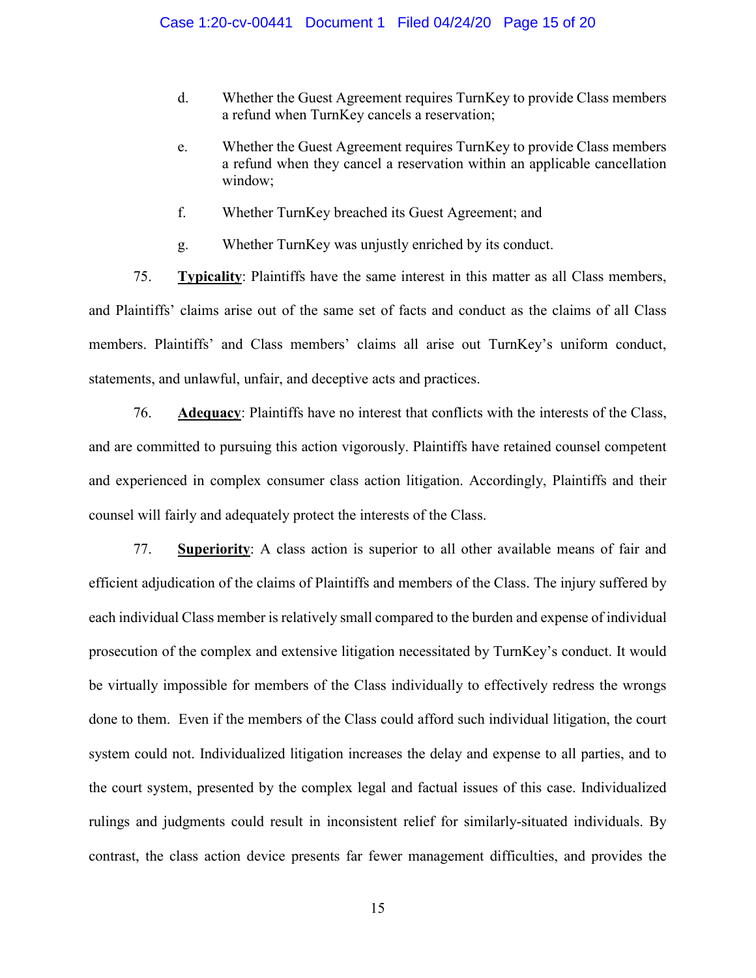- d. Whether the Guest Agreement requires TurnKey to provide Class members a refund when TurnKey cancels a reservation;
- e. Whether the Guest Agreement requires TurnKey to provide Class members a refund when they cancel a reservation within an applicable cancellation window;
- f. Whether TurnKey breached its Guest Agreement; and
- g. Whether TurnKey was unjustly enriched by its conduct.

75. **Typicality**: Plaintiffs have the same interest in this matter as all Class members, and Plaintiffs' claims arise out of the same set of facts and conduct as the claims of all Class members. Plaintiffs' and Class members' claims all arise out TurnKey's uniform conduct, statements, and unlawful, unfair, and deceptive acts and practices.

76. **Adequacy**: Plaintiffs have no interest that conflicts with the interests of the Class, and are committed to pursuing this action vigorously. Plaintiffs have retained counsel competent and experienced in complex consumer class action litigation. Accordingly, Plaintiffs and their counsel will fairly and adequately protect the interests of the Class.

77. **Superiority**: A class action is superior to all other available means of fair and efficient adjudication of the claims of Plaintiffs and members of the Class. The injury suffered by each individual Class member is relatively small compared to the burden and expense of individual prosecution of the complex and extensive litigation necessitated by TurnKey's conduct. It would be virtually impossible for members of the Class individually to effectively redress the wrongs done to them. Even if the members of the Class could afford such individual litigation, the court system could not. Individualized litigation increases the delay and expense to all parties, and to the court system, presented by the complex legal and factual issues of this case. Individualized rulings and judgments could result in inconsistent relief for similarly-situated individuals. By contrast, the class action device presents far fewer management difficulties, and provides the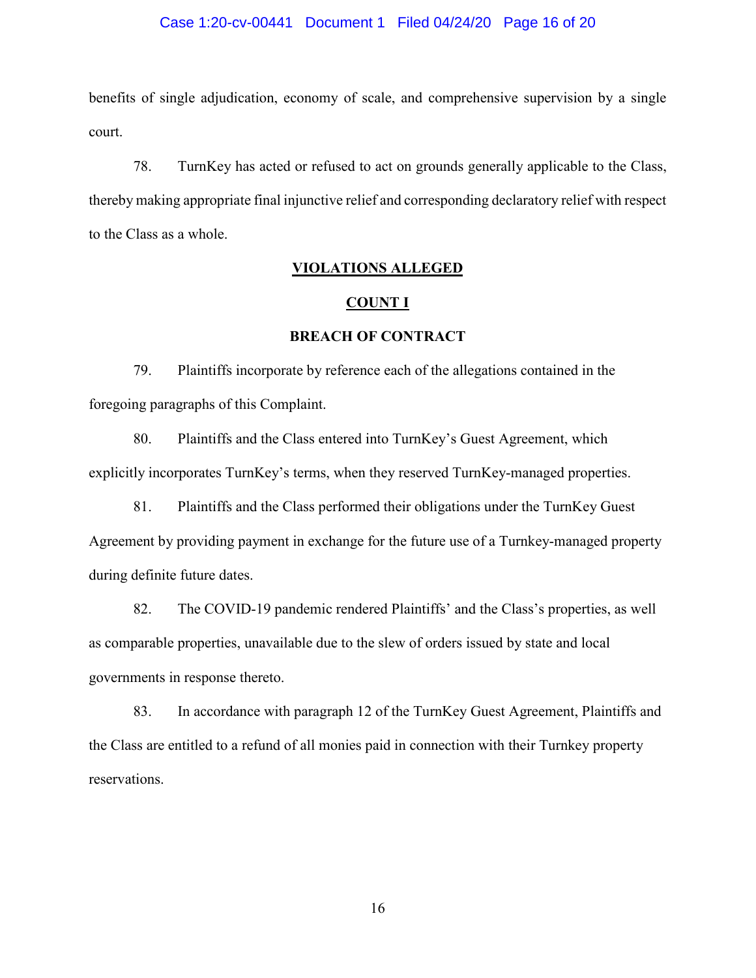### Case 1:20-cv-00441 Document 1 Filed 04/24/20 Page 16 of 20

benefits of single adjudication, economy of scale, and comprehensive supervision by a single court.

78. TurnKey has acted or refused to act on grounds generally applicable to the Class, thereby making appropriate final injunctive relief and corresponding declaratory relief with respect to the Class as a whole.

## **VIOLATIONS ALLEGED**

#### **COUNT I**

### **BREACH OF CONTRACT**

79. Plaintiffs incorporate by reference each of the allegations contained in the foregoing paragraphs of this Complaint.

80. Plaintiffs and the Class entered into TurnKey's Guest Agreement, which explicitly incorporates TurnKey's terms, when they reserved TurnKey-managed properties.

81. Plaintiffs and the Class performed their obligations under the TurnKey Guest Agreement by providing payment in exchange for the future use of a Turnkey-managed property during definite future dates.

82. The COVID-19 pandemic rendered Plaintiffs' and the Class's properties, as well as comparable properties, unavailable due to the slew of orders issued by state and local governments in response thereto.

83. In accordance with paragraph 12 of the TurnKey Guest Agreement, Plaintiffs and the Class are entitled to a refund of all monies paid in connection with their Turnkey property reservations.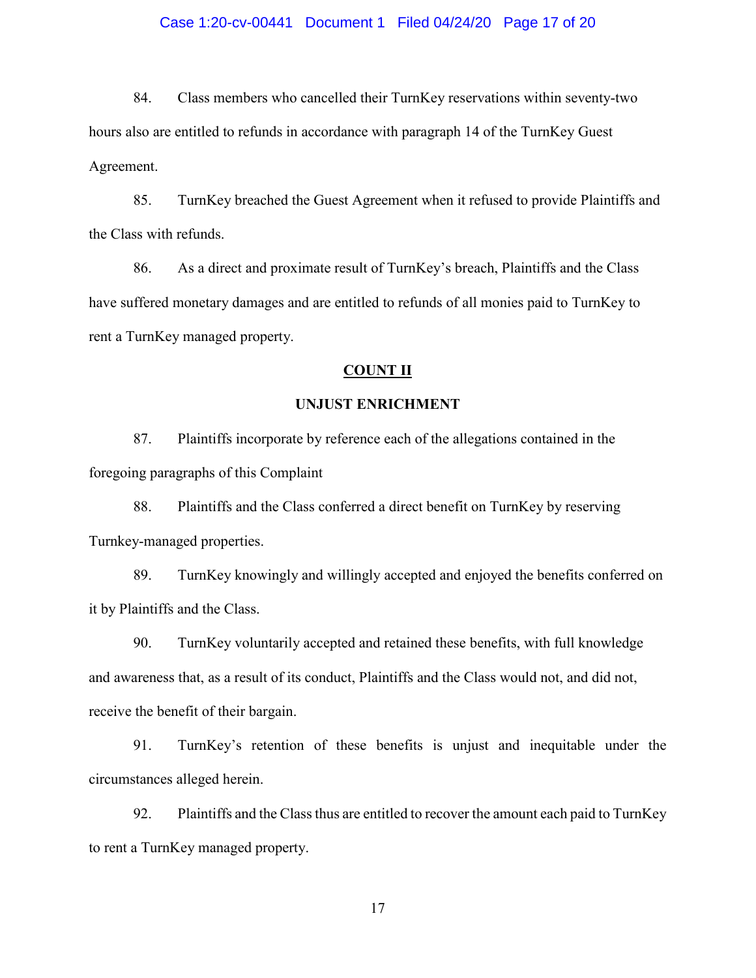### Case 1:20-cv-00441 Document 1 Filed 04/24/20 Page 17 of 20

84. Class members who cancelled their TurnKey reservations within seventy-two hours also are entitled to refunds in accordance with paragraph 14 of the TurnKey Guest Agreement.

85. TurnKey breached the Guest Agreement when it refused to provide Plaintiffs and the Class with refunds.

86. As a direct and proximate result of TurnKey's breach, Plaintiffs and the Class have suffered monetary damages and are entitled to refunds of all monies paid to TurnKey to rent a TurnKey managed property.

### **COUNT II**

### **UNJUST ENRICHMENT**

87. Plaintiffs incorporate by reference each of the allegations contained in the foregoing paragraphs of this Complaint

88. Plaintiffs and the Class conferred a direct benefit on TurnKey by reserving Turnkey-managed properties.

89. TurnKey knowingly and willingly accepted and enjoyed the benefits conferred on it by Plaintiffs and the Class.

90. TurnKey voluntarily accepted and retained these benefits, with full knowledge and awareness that, as a result of its conduct, Plaintiffs and the Class would not, and did not, receive the benefit of their bargain.

91. TurnKey's retention of these benefits is unjust and inequitable under the circumstances alleged herein.

92. Plaintiffs and the Class thus are entitled to recover the amount each paid to TurnKey to rent a TurnKey managed property.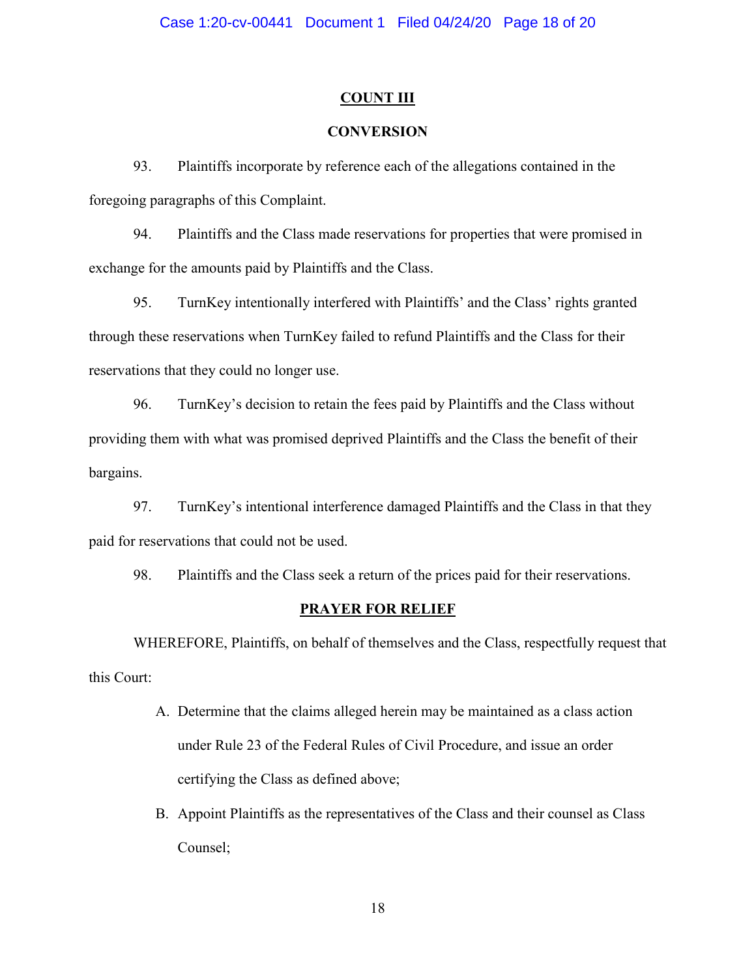### **COUNT III**

# **CONVERSION**

93. Plaintiffs incorporate by reference each of the allegations contained in the foregoing paragraphs of this Complaint.

94. Plaintiffs and the Class made reservations for properties that were promised in exchange for the amounts paid by Plaintiffs and the Class.

95. TurnKey intentionally interfered with Plaintiffs' and the Class' rights granted through these reservations when TurnKey failed to refund Plaintiffs and the Class for their reservations that they could no longer use.

96. TurnKey's decision to retain the fees paid by Plaintiffs and the Class without providing them with what was promised deprived Plaintiffs and the Class the benefit of their bargains.

97. TurnKey's intentional interference damaged Plaintiffs and the Class in that they paid for reservations that could not be used.

98. Plaintiffs and the Class seek a return of the prices paid for their reservations.

#### **PRAYER FOR RELIEF**

WHEREFORE, Plaintiffs, on behalf of themselves and the Class, respectfully request that this Court:

- A. Determine that the claims alleged herein may be maintained as a class action under Rule 23 of the Federal Rules of Civil Procedure, and issue an order certifying the Class as defined above;
- B. Appoint Plaintiffs as the representatives of the Class and their counsel as Class Counsel;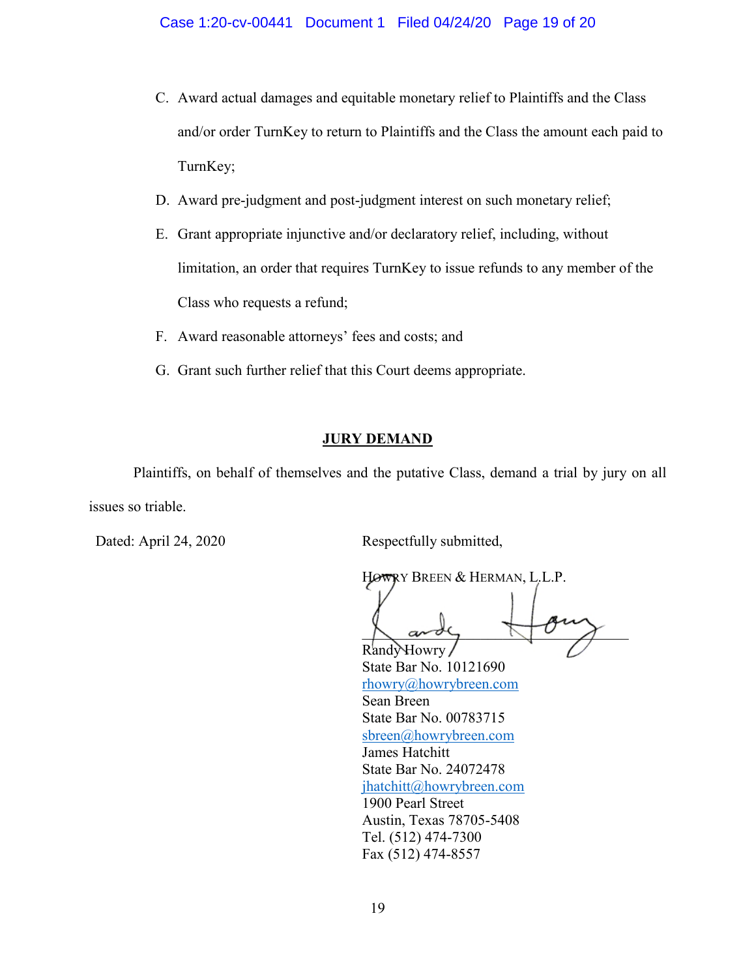- C. Award actual damages and equitable monetary relief to Plaintiffs and the Class and/or order TurnKey to return to Plaintiffs and the Class the amount each paid to TurnKey;
- D. Award pre-judgment and post-judgment interest on such monetary relief;
- E. Grant appropriate injunctive and/or declaratory relief, including, without limitation, an order that requires TurnKey to issue refunds to any member of the Class who requests a refund;
- F. Award reasonable attorneys' fees and costs; and
- G. Grant such further relief that this Court deems appropriate.

## **JURY DEMAND**

Plaintiffs, on behalf of themselves and the putative Class, demand a trial by jury on all issues so triable.

Dated: April 24, 2020 Respectfully submitted,

HOWRY BREEN & HERMAN, L.L.P.  $\bigwedge$  and  $\bigwedge$ RandvHowry

State Bar No. 10121690 [rhowry@howrybreen.com](mailto:rhowry@howrybreen.com) Sean Breen State Bar No. 00783715 [sbreen@howrybreen.com](mailto:sbreen@howrybreen.com) James Hatchitt State Bar No. 24072478 [jhatchitt@howrybreen.com](mailto:jhatchitt@howrybreen.com) 1900 Pearl Street Austin, Texas 78705-5408 Tel. (512) 474-7300 Fax (512) 474-8557